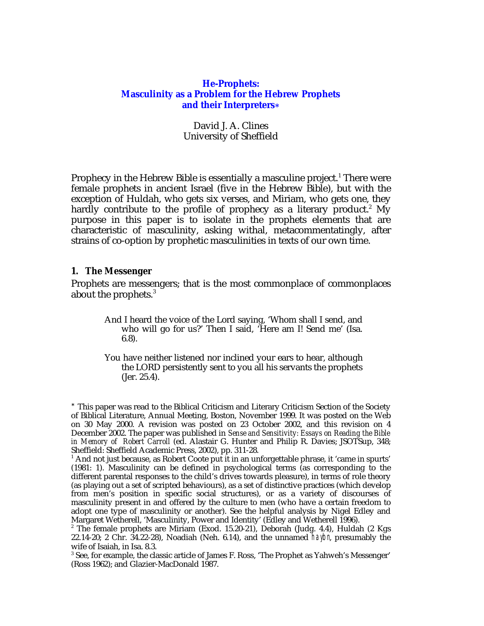## **He-Prophets: Masculinity as a Problem for the Hebrew Prophets and their Interpreters**

# David J. A. Clines University of Sheffield

Prophecy in the Hebrew Bible is essentially a masculine project.<sup>1</sup> There were female prophets in ancient Israel (five in the Hebrew Bible), but with the exception of Huldah, who gets six verses, and Miriam, who gets one, they hardly contribute to the profile of prophecy as a literary product.<sup>2</sup> My purpose in this paper is to isolate in the prophets elements that are characteristic of masculinity, asking withal, metacommentatingly, after strains of co-option by prophetic masculinities in texts of our own time.

### **1. The Messenger**

Prophets are messengers; that is the most commonplace of commonplaces about the prophets. $3$ 

- And I heard the voice of the Lord saying, 'Whom shall I send, and who will go for us?' Then I said, 'Here am I! Send me' (Isa. 6.8).
- You have neither listened nor inclined your ears to hear, although the LORD persistently sent to you all his servants the prophets (Jer. 25.4).

 This paper was read to the Biblical Criticism and Literary Criticism Section of the Society of Biblical Literature, Annual Meeting, Boston, November 1999. It was posted on the Web on 30 May 2000. A revision was posted on 23 October 2002, and this revision on 4 December 2002. The paper was published in *Sense and Sensitivity: Essays on Reading the Bible in Memory of Robert Carroll* (ed. Alastair G. Hunter and Philip R. Davies; JSOTSup, 348; Sheffield: Sheffield Academic Press, 2002), pp. 311-28.

 $<sup>1</sup>$  And not just because, as Robert Coote put it in an unforgettable phrase, it 'came in spurts'</sup> (1981: 1). Masculinity can be defined in psychological terms (as corresponding to the different parental responses to the child's drives towards pleasure), in terms of role theory (as playing out a set of scripted behaviours), as a set of distinctive practices (which develop from men's position in specific social structures), or as a variety of discourses of masculinity present in and offered by the culture to men (who have a certain freedom to adopt one type of masculinity or another). See the helpful analysis by Nigel Edley and Margaret Wetherell, 'Masculinity, Power and Identity' (Edley and Wetherell 1996).

<sup>2</sup> The female prophets are Miriam (Exod. 15.20-21), Deborah (Judg. 4.4), Huldah (2 Kgs 22.14-20; 2 Chr. 34.22-28), Noadiah (Neh. 6.14), and the unnamed haybn, presumably the wife of Isaiah, in Isa. 8.3.

<sup>3</sup> See, for example, the classic article of James F. Ross, 'The Prophet as Yahweh's Messenger' (Ross 1962); and Glazier-MacDonald 1987.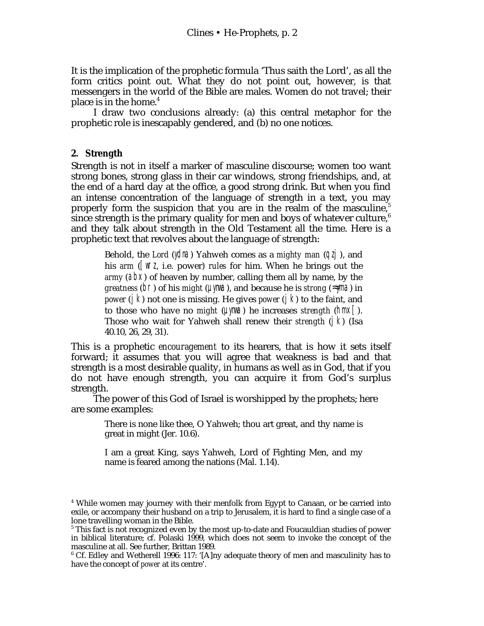It is the implication of the prophetic formula 'Thus saith the Lord', as all the form critics point out. What they do not point out, however, is that messengers in the world of the Bible are males. Women do not travel; their place is in the home.<sup>4</sup>

I draw two conclusions already: (a) this central metaphor for the prophetic role is inescapably gendered, and (b) no one notices.

# **2. Strength**

Strength is not in itself a marker of masculine discourse; women too want strong bones, strong glass in their car windows, strong friendships, and, at the end of a hard day at the office, a good strong drink. But when you find an intense concentration of the language of strength in a text, you may properly form the suspicion that you are in the realm of the masculine, $5$ since strength is the primary quality for men and boys of whatever culture, $6$ and they talk about strength in the Old Testament all the time. Here is a prophetic text that revolves about the language of strength:

> Behold, the *Lord* (ydna) Yahweh comes as a *mighty man* (Q<sub>Z</sub>j), and his *arm* ([wrz, i.e. power) *rules* for him. When he brings out the *army* (abx) of heaven by number, calling them all by name, by the *greatness* (br) of his *might* (µynwa), and because he is *strong* ( yma) in *power* (*j* k) not one is missing. He gives *power* (*j* k) to the faint, and to those who have no *might* (µynwa) he increases *strength* (hmx[). Those who wait for Yahweh shall renew their *strength* (jk) (Isa 40.10, 26, 29, 31).

This is a prophetic *encouragement* to its hearers, that is how it sets itself forward; it assumes that you will agree that weakness is bad and that strength is a most desirable quality, in humans as well as in God, that if you do not have enough strength, you can acquire it from God's surplus strength.

The power of this God of Israel is worshipped by the prophets; here are some examples:

> There is none like thee, O Yahweh; thou art great, and thy name is great in might (Jer. 10.6).

> I am a great King, says Yahweh, Lord of Fighting Men, and my name is feared among the nations (Mal. 1.14).

<sup>&</sup>lt;sup>4</sup> While women may journey with their menfolk from Egypt to Canaan, or be carried into exile, or accompany their husband on a trip to Jerusalem, it is hard to find a single case of a lone travelling woman in the Bible.

<sup>5</sup> This fact is not recognized even by the most up-to-date and Foucauldian studies of power in biblical literature; cf. Polaski 1999, which does not seem to invoke the concept of the masculine at all. See further, Brittan 1989.

<sup>6</sup> Cf. Edley and Wetherell 1996: 117: '[A]ny adequate theory of men and masculinity has to have the concept of *power* at its centre'.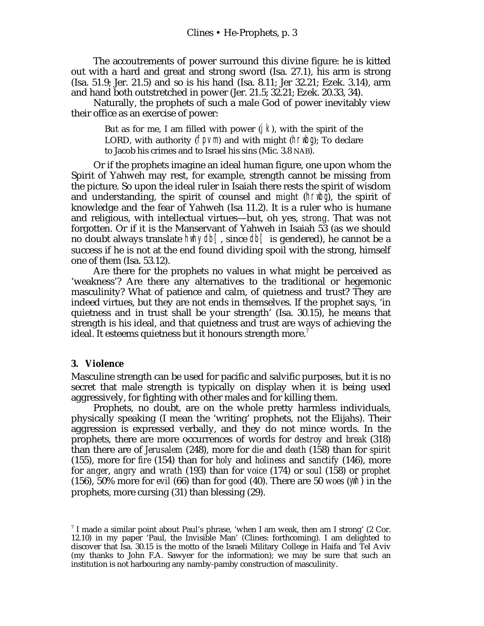The accoutrements of power surround this divine figure: he is kitted out with a hard and great and strong sword (Isa. 27.1), his arm is strong (Isa. 51.9; Jer. 21.5) and so is his hand (Isa. 8.11; Jer 32.21; Ezek. 3.14), arm and hand both outstretched in power (Jer. 21.5; 32.21; Ezek. 20.33, 34).

Naturally, the prophets of such a male God of power inevitably view their office as an exercise of power:

> But as for me, I am filled with power  $(i, k)$ , with the spirit of the LORD, with authority ( $f$  $\beta$  $\vee$ m) and with might ( $h$  $\Gamma$  $\beta$  $\varphi$ ); To declare to Jacob his crimes and to Israel his sins (Mic. 3.8 NAB).

Or if the prophets imagine an ideal human figure, one upon whom the Spirit of Yahweh may rest, for example, strength cannot be missing from the picture. So upon the ideal ruler in Isaiah there rests the spirit of wisdom and understanding, the spirit of counsel and *might* (hrwbg), the spirit of knowledge and the fear of Yahweh (Isa 11.2). It is a ruler who is humane and religious, with intellectual virtues—but, oh yes, *strong*. That was not forgotten. Or if it is the Manservant of Yahweh in Isaiah 53 (as we should no doubt always translate hwhy  $db$ , since  $db$  is gendered), he cannot be a success if he is not at the end found dividing spoil with the strong, himself one of them (Isa. 53.12).

Are there for the prophets no values in what might be perceived as 'weakness'? Are there any alternatives to the traditional or hegemonic masculinity? What of patience and calm, of quietness and trust? They are indeed virtues, but they are not ends in themselves. If the prophet says, 'in quietness and in trust shall be your strength' (Isa. 30.15), he means that strength is his ideal, and that quietness and trust are ways of achieving the ideal. It esteems quietness but it honours strength more.<sup>7</sup>

#### **3. Violence**

Masculine strength can be used for pacific and salvific purposes, but it is no secret that male strength is typically on display when it is being used aggressively, for fighting with other males and for killing them.

Prophets, no doubt, are on the whole pretty harmless individuals, physically speaking (I mean the 'writing' prophets, not the Elijahs). Their aggression is expressed verbally, and they do not mince words. In the prophets, there are more occurrences of words for *destroy* and *break* (318) than there are of *Jerusalem* (248), more for *die* and *death* (158) than for *spirit* (155), more for *fire* (154) than for *holy* and *holiness* and *sanctify* (146), more for *anger*, *angry* and *wrath* (193) than for *voice* (174) or *soul* (158) or *prophet* (156), 50% more for *evil* (66) than for *good* (40). There are 50 *woes* (ywh) in the prophets, more cursing (31) than blessing (29).

<sup>7</sup> I made a similar point about Paul's phrase, 'when I am weak, then am I strong' (2 Cor. 12.10) in my paper 'Paul, the Invisible Man' (Clines: forthcoming). I am delighted to discover that Isa. 30.15 is the motto of the Israeli Military College in Haifa and Tel Aviv (my thanks to John F.A. Sawyer for the information); we may be sure that such an institution is not harbouring any namby-pamby construction of masculinity.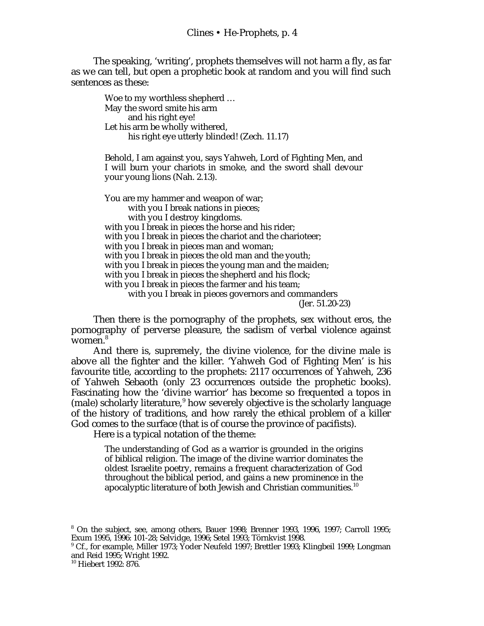The speaking, 'writing', prophets themselves will not harm a fly, as far as we can tell, but open a prophetic book at random and you will find such sentences as these:

> Woe to my worthless shepherd … May the sword smite his arm and his right eye! Let his arm be wholly withered, his right eye utterly blinded! (Zech. 11.17)

Behold, I am against you, says Yahweh, Lord of Fighting Men, and I will burn your chariots in smoke, and the sword shall devour your young lions (Nah. 2.13).

You are my hammer and weapon of war; with you I break nations in pieces; with you I destroy kingdoms. with you I break in pieces the horse and his rider; with you I break in pieces the chariot and the charioteer; with you I break in pieces man and woman; with you I break in pieces the old man and the youth; with you I break in pieces the young man and the maiden; with you I break in pieces the shepherd and his flock; with you I break in pieces the farmer and his team; with you I break in pieces governors and commanders (Jer. 51.20-23)

Then there is the pornography of the prophets, sex without eros, the pornography of perverse pleasure, the sadism of verbal violence against women.<sup>8</sup>

And there is, supremely, the divine violence, for the divine male is above all the fighter and the killer. 'Yahweh God of Fighting Men' is his favourite title, according to the prophets: 2117 occurrences of Yahweh, 236 of Yahweh Sebaoth (only 23 occurrences outside the prophetic books). Fascinating how the 'divine warrior' has become so frequented a topos in (male) scholarly literature,<sup>9</sup> how severely objective is the scholarly language of the history of traditions, and how rarely the ethical problem of a killer God comes to the surface (that is of course the province of pacifists).

Here is a typical notation of the theme:

The understanding of God as a warrior is grounded in the origins of biblical religion. The image of the divine warrior dominates the oldest Israelite poetry, remains a frequent characterization of God throughout the biblical period, and gains a new prominence in the apocalyptic literature of both Jewish and Christian communities.<sup>10</sup>

<sup>8</sup> On the subject, see, among others, Bauer 1998; Brenner 1993, 1996, 1997; Carroll 1995; Exum 1995, 1996: 101-28; Selvidge, 1996; Setel 1993; Törnkvist 1998.

<sup>9</sup> Cf., for example, Miller 1973; Yoder Neufeld 1997; Brettler 1993; Klingbeil 1999; Longman and Reid 1995; Wright 1992.

<sup>&</sup>lt;sup>10</sup> Hiebert 1992: 876.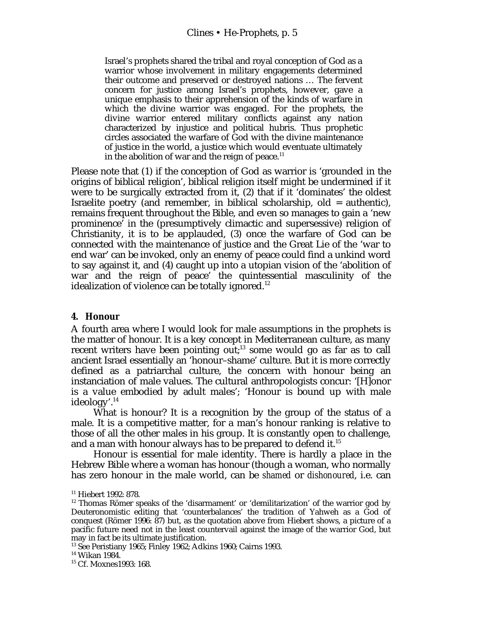Israel's prophets shared the tribal and royal conception of God as a warrior whose involvement in military engagements determined their outcome and preserved or destroyed nations … The fervent concern for justice among Israel's prophets, however, gave a unique emphasis to their apprehension of the kinds of warfare in which the divine warrior was engaged. For the prophets, the divine warrior entered military conflicts against any nation characterized by injustice and political hubris. Thus prophetic circles associated the warfare of God with the divine maintenance of justice in the world, a justice which would eventuate ultimately in the abolition of war and the reign of peace. $^{11}$ 

Please note that (1) if the conception of God as warrior is 'grounded in the origins of biblical religion', biblical religion itself might be undermined if it were to be surgically extracted from it, (2) that if it 'dominates' the oldest Israelite poetry (and remember, in biblical scholarship, old = authentic), remains frequent throughout the Bible, and even so manages to gain a 'new prominence' in the (presumptively climactic and supersessive) religion of Christianity, it is to be applauded, (3) once the warfare of God can be connected with the maintenance of justice and the Great Lie of the 'war to end war' can be invoked, only an enemy of peace could find a unkind word to say against it, and (4) caught up into a utopian vision of the 'abolition of war and the reign of peace' the quintessential masculinity of the idealization of violence can be totally ignored. $12$ 

# **4. Honour**

A fourth area where I would look for male assumptions in the prophets is the matter of honour. It is a key concept in Mediterranean culture, as many recent writers have been pointing out;<sup>13</sup> some would go as far as to call ancient Israel essentially an 'honour–shame' culture. But it is more correctly defined as a patriarchal culture, the concern with honour being an instanciation of male values. The cultural anthropologists concur: '[H]onor is a value embodied by adult males'; 'Honour is bound up with male ideology'.<sup>14</sup>

What is honour? It is a recognition by the group of the status of a male. It is a competitive matter, for a man's honour ranking is relative to those of all the other males in his group. It is constantly open to challenge, and a man with honour always has to be prepared to defend it.<sup>15</sup>

Honour is essential for male identity. There is hardly a place in the Hebrew Bible where a woman has honour (though a woman, who normally has zero honour in the male world, can be *shamed* or *dishonoured*, i.e. can

<sup>&</sup>lt;sup>11</sup> Hiebert 1992: 878.

<sup>&</sup>lt;sup>12</sup> Thomas Römer speaks of the 'disarmament' or 'demilitarization' of the warrior god by Deuteronomistic editing that 'counterbalances' the tradition of Yahweh as a God of conquest (Römer 1996:  $\overline{87}$ ) but, as the quotation above from Hiebert shows, a picture of a pacific future need not in the least countervail against the image of the warrior God, but may in fact be its ultimate justification.

<sup>13</sup> See Peristiany 1965; Finley 1962; Adkins 1960; Cairns 1993.

<sup>14</sup> Wikan 1984.

<sup>15</sup> Cf. Moxnes1993: 168.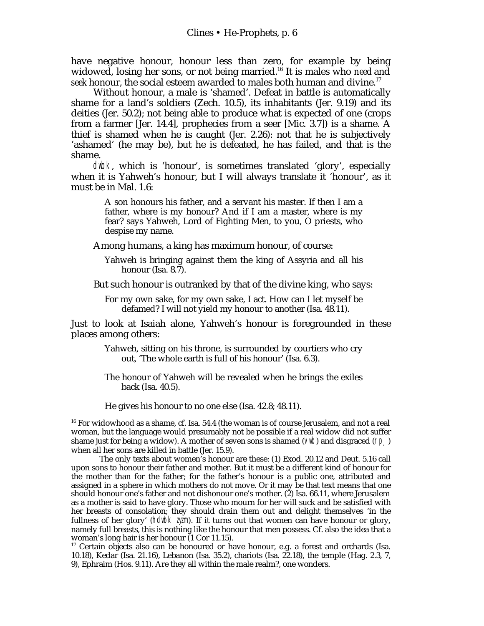have negative honour, honour less than zero, for example by being widowed, losing her sons, or not being married.<sup>16</sup> It is males who *need* and seek honour, the social esteem awarded to males both human and divine.<sup>17</sup>

Without honour, a male is 'shamed'. Defeat in battle is automatically shame for a land's soldiers (Zech. 10.5), its inhabitants (Jer. 9.19) and its deities (Jer. 50.2); not being able to produce what is expected of one (crops from a farmer [Jer. 14.4], prophecies from a seer [Mic. 3.7]) is a shame. A thief is shamed when he is caught (Jer. 2.26): not that he is subjectively 'ashamed' (he may be), but he is defeated, he has failed, and that is the shame.

dwbk, which is 'honour', is sometimes translated 'glory', especially when it is Yahweh's honour, but I will always translate it 'honour', as it must be in Mal. 1.6:

> A son honours his father, and a servant his master. If then I am a father, where is my honour? And if I am a master, where is my fear? says Yahweh, Lord of Fighting Men, to you, O priests, who despise my name.

Among humans, a king has maximum honour, of course:

Yahweh is bringing against them the king of Assyria and all his honour (Isa. 8.7).

But such honour is outranked by that of the divine king, who says:

For my own sake, for my own sake, I act. How can I let myself be defamed? I will not yield my honour to another (Isa. 48.11).

Just to look at Isaiah alone, Yahweh's honour is foregrounded in these places among others:

> Yahweh, sitting on his throne, is surrounded by courtiers who cry out, 'The whole earth is full of his honour' (Isa. 6.3).

> The honour of Yahweh will be revealed when he brings the exiles back (Isa. 40.5).

He gives his honour to no one else (Isa. 42.8; 48.11).

 $16$  For widowhood as a shame, cf. Isa. 54.4 (the woman is of course Jerusalem, and not a real woman, but the language would presumably not be possible if a real widow did not suffer shame just for being a widow). A mother of seven sons is shamed  $(\forall \mathbb{I})$  and disgraced  $(\forall \mathbb{I})$ when all her sons are killed in battle (Jer. 15.9).

The only texts about women's honour are these: (1) Exod. 20.12 and Deut. 5.16 call upon sons to honour their father and mother. But it must be a different kind of honour for the mother than for the father; for the father's honour is a public one, attributed and assigned in a sphere in which mothers do not move. Or it may be that text means that one should honour one's father and not dishonour one's mother. (2) Isa. 66.11, where Jerusalem as a mother is said to have glory. Those who mourn for her will suck and be satisfied with her breasts of consolation; they should drain them out and delight themselves 'in the fullness of her glory' (hdwbk  $zy_1m$ ). If it turns out that women can have honour or glory, namely full breasts, this is nothing like the honour that men possess. Cf. also the idea that a woman's long hair is her honour (1 Cor 11.15).

<sup>17</sup> Certain objects also can be honoured or have honour, e.g. a forest and orchards (Isa. 10.18), Kedar (Isa. 21.16), Lebanon (Isa. 35.2), chariots (Isa. 22.18), the temple (Hag. 2.3, 7, 9), Ephraim (Hos. 9.11). Are they all within the male realm?, one wonders.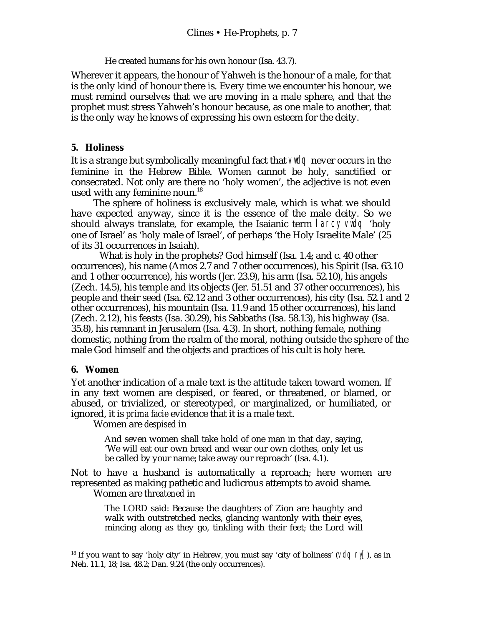He created humans for his own honour (Isa. 43.7).

Wherever it appears, the honour of Yahweh is the honour of a male, for that is the only kind of honour there is. Every time we encounter his honour, we must remind ourselves that we are moving in a male sphere, and that the prophet must stress Yahweh's honour because, as one male to another, that is the only way he knows of expressing his own esteem for the deity.

# **5. Holiness**

It is a strange but symbolically meaningful fact that vwdq never occurs in the feminine in the Hebrew Bible. Women cannot be holy, sanctified or consecrated. Not only are there no 'holy women', the adjective is not even used with any feminine noun.<sup>18</sup>

The sphere of holiness is exclusively male, which is what we should have expected anyway, since it is the essence of the male deity. So we should always translate, for example, the Isaianic term  $|$  arcy vwdq 'holy one of Israel' as 'holy male of Israel', of perhaps 'the Holy Israelite Male' (25 of its 31 occurrences in Isaiah).

What is holy in the prophets? God himself (Isa. 1.4; and c. 40 other occurrences), his name (Amos 2.7 and 7 other occurrences), his Spirit (Isa. 63.10 and 1 other occurrence), his words (Jer. 23.9), his arm (Isa. 52.10), his angels (Zech. 14.5), his temple and its objects (Jer. 51.51 and 37 other occurrences), his people and their seed (Isa. 62.12 and 3 other occurrences), his city (Isa. 52.1 and 2 other occurrences), his mountain (Isa. 11.9 and 15 other occurrences), his land (Zech. 2.12), his feasts (Isa. 30.29), his Sabbaths (Isa. 58.13), his highway (Isa. 35.8), his remnant in Jerusalem (Isa. 4.3). In short, nothing female, nothing domestic, nothing from the realm of the moral, nothing outside the sphere of the male God himself and the objects and practices of his cult is holy here.

## **6. Women**

Yet another indication of a male text is the attitude taken toward women. If in any text women are despised, or feared, or threatened, or blamed, or abused, or trivialized, or stereotyped, or marginalized, or humiliated, or ignored, it is *prima facie* evidence that it is a male text.

Women are *despised* in

And seven women shall take hold of one man in that day, saying, 'We will eat our own bread and wear our own clothes, only let us be called by your name; take away our reproach' (Isa. 4.1).

Not to have a husband is automatically a reproach; here women are represented as making pathetic and ludicrous attempts to avoid shame.

Women are *threatened* in

The LORD said: Because the daughters of Zion are haughty and walk with outstretched necks, glancing wantonly with their eyes, mincing along as they go, tinkling with their feet; the Lord will

<sup>18</sup> If you want to say 'holy city' in Hebrew, you must say 'city of holiness' ( $\forall$ dq r $\forall$ [), as in Neh. 11.1, 18; Isa. 48.2; Dan. 9.24 (the only occurrences).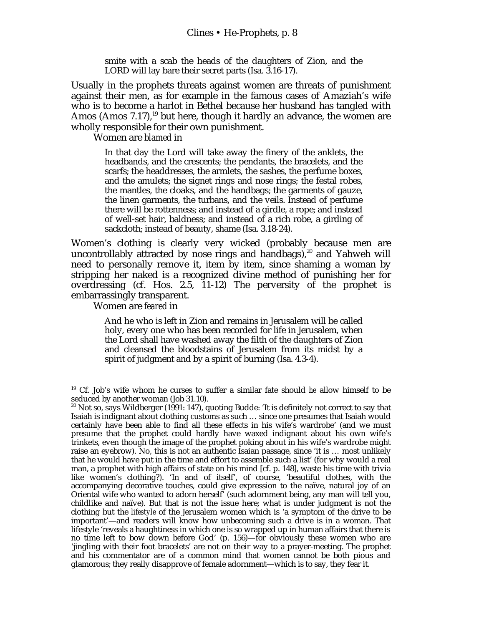smite with a scab the heads of the daughters of Zion, and the LORD will lay bare their secret parts (Isa. 3.16-17).

Usually in the prophets threats against women are threats of punishment against their men, as for example in the famous cases of Amaziah's wife who is to become a harlot in Bethel because her husband has tangled with Amos (Amos  $7.17$ ),<sup>19</sup> but here, though it hardly an advance, the women are wholly responsible for their own punishment.

Women are *blamed* in

In that day the Lord will take away the finery of the anklets, the headbands, and the crescents; the pendants, the bracelets, and the scarfs; the headdresses, the armlets, the sashes, the perfume boxes, and the amulets; the signet rings and nose rings; the festal robes, the mantles, the cloaks, and the handbags; the garments of gauze, the linen garments, the turbans, and the veils. Instead of perfume there will be rottenness; and instead of a girdle, a rope; and instead of well-set hair, baldness; and instead of a rich robe, a girding of sackcloth; instead of beauty, shame (Isa. 3.18-24).

Women's clothing is clearly very wicked (probably because men are uncontrollably attracted by nose rings and handbags), $20$  and Yahweh will need to personally remove it, item by item, since shaming a woman by stripping her naked is a recognized divine method of punishing her for overdressing (cf. Hos. 2.5, 11-12) The perversity of the prophet is embarrassingly transparent.

Women are *feared* in

And he who is left in Zion and remains in Jerusalem will be called holy, every one who has been recorded for life in Jerusalem, when the Lord shall have washed away the filth of the daughters of Zion and cleansed the bloodstains of Jerusalem from its midst by a spirit of judgment and by a spirit of burning (Isa. 4.3-4).

<sup>19</sup> Cf. Job's wife whom he curses to suffer a similar fate should *he* allow himself to be seduced by another woman (Job 31.10).

 $^{20}$  Not so, says Wildberger (1991: 147), quoting Budde: 'It is definitely not correct to say that Isaiah is indignant about clothing customs as such … since one presumes that Isaiah would certainly have been able to find all these effects in his wife's wardrobe' (and we must presume that the prophet could hardly have waxed indignant about his own wife's trinkets, even though the image of the prophet poking about in his wife's wardrobe might raise an eyebrow). No, this is not an authentic Isaian passage, since 'it is … most unlikely that he would have put in the time and effort to assemble such a list' (for why would a real man, a prophet with high affairs of state on his mind [cf. p. 148], waste his time with trivia like women's clothing?). 'In and of itself', of course, 'beautiful clothes, with the accompanying decorative touches, could give expression to the naïve, natural joy of an Oriental wife who wanted to adorn herself' (such adornment being, any man will tell you, childlike and naïve). But that is not the issue here; what is under judgment is not the clothing but the *lifestyle* of the Jerusalem women which is 'a symptom of the drive to be important'—and readers will know how unbecoming such a drive is in a woman. That lifestyle 'reveals a haughtiness in which one is so wrapped up in human affairs that there is no time left to bow down before God' (p. 156)—for obviously these women who are 'jingling with their foot bracelets' are not on their way to a prayer-meeting. The prophet and his commentator are of a common mind that women cannot be both pious and glamorous; they really disapprove of female adornment—which is to say, they fear it.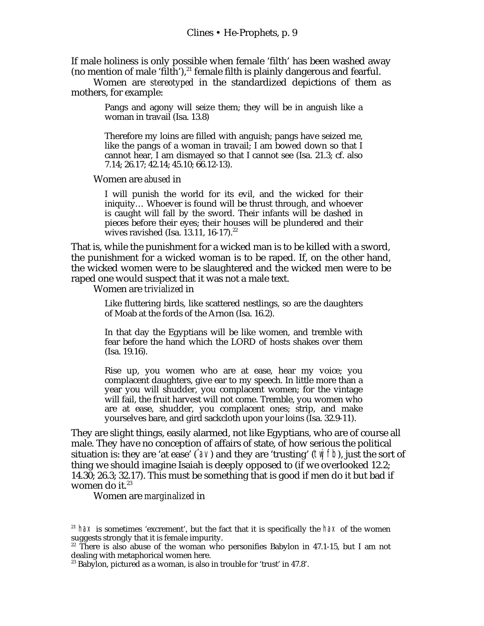If male holiness is only possible when female 'filth' has been washed away (no mention of male 'filth'),<sup>21</sup> female filth is plainly dangerous and fearful.

Women are *stereotyped* in the standardized depictions of them as mothers, for example:

> Pangs and agony will seize them; they will be in anguish like a woman in travail (Isa. 13.8)

> Therefore my loins are filled with anguish; pangs have seized me, like the pangs of a woman in travail; I am bowed down so that I cannot hear, I am dismayed so that I cannot see (Isa. 21.3; cf. also 7.14; 26.17; 42.14; 45.10; 66.12-13).

Women are *abused* in

I will punish the world for its evil, and the wicked for their iniquity… Whoever is found will be thrust through, and whoever is caught will fall by the sword. Their infants will be dashed in pieces before their eyes; their houses will be plundered and their wives ravished (Isa. 13.11, 16-17).<sup>22</sup>

That is, while the punishment for a wicked man is to be killed with a sword, the punishment for a wicked woman is to be raped. If, on the other hand, the wicked women were to be slaughtered and the wicked men were to be raped one would suspect that it was not a male text.

Women are *trivialized* in

Like fluttering birds, like scattered nestlings, so are the daughters of Moab at the fords of the Arnon (Isa. 16.2).

In that day the Egyptians will be like women, and tremble with fear before the hand which the LORD of hosts shakes over them (Isa. 19.16).

Rise up, you women who are at ease, hear my voice; you complacent daughters, give ear to my speech. In little more than a year you will shudder, you complacent women; for the vintage will fail, the fruit harvest will not come. Tremble, you women who are at ease, shudder, you complacent ones; strip, and make yourselves bare, and gird sackcloth upon your loins (Isa. 32.9-11).

They are slight things, easily alarmed, not like Egyptians, who are of course all male. They have no conception of affairs of state, of how serious the political situation is: they are 'at ease' ( $\partial V$ ) and they are 'trusting' ( $t$ ll|  $\partial F$ ), just the sort of thing we should imagine Isaiah is deeply opposed to (if we overlooked 12.2; 14.30; 26.3; 32.17). This must be something that is good if men do it but bad if women do it.<sup>23</sup>

Women are *marginalized* in

 $21$  hax is sometimes 'excrement', but the fact that it is specifically the hax of the women suggests strongly that it is female impurity.

 $22$ <sup>22</sup> There is also abuse of the woman who personifies Babylon in 47.1-15, but I am not dealing with metaphorical women here.

 $^{23}$  Babylon, pictured as a woman, is also in trouble for 'trust' in 47.8'.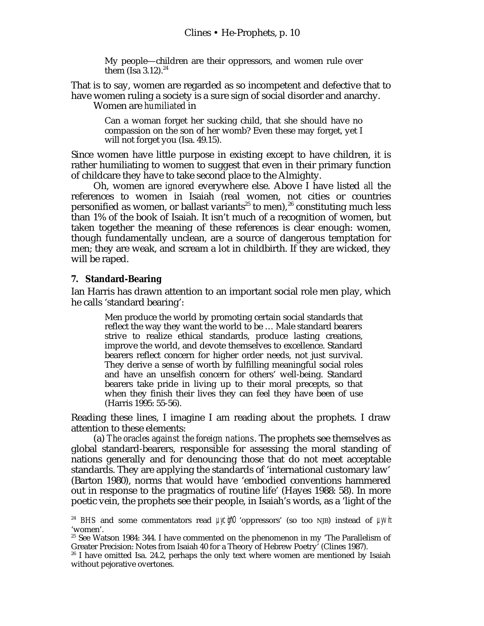My people—children are their oppressors, and women rule over them  $(Isa 3.12).<sup>24</sup>$ 

That is to say, women are regarded as so incompetent and defective that to have women ruling a society is a sure sign of social disorder and anarchy. Women are *humiliated* in

> Can a woman forget her sucking child, that she should have no compassion on the son of her womb? Even these may forget, yet I will not forget you (Isa. 49.15).

Since women have little purpose in existing except to have children, it is rather humiliating to women to suggest that even in their primary function of childcare they have to take second place to the Almighty.

Oh, women are *ignored* everywhere else. Above I have listed *all* the references to women in Isaiah (real women, not cities or countries personified as women, or ballast variants<sup>25</sup> to men),  $^{26}$  constituting much less than 1% of the book of Isaiah. It isn't much of a recognition of women, but taken together the meaning of these references is clear enough: women, though fundamentally unclean, are a source of dangerous temptation for men; they are weak, and scream a lot in childbirth. If they are wicked, they will be raped.

## **7. Standard-Bearing**

Ian Harris has drawn attention to an important social role men play, which he calls 'standard bearing':

> Men produce the world by promoting certain social standards that reflect the way they want the world to be … Male standard bearers strive to realize ethical standards, produce lasting creations, improve the world, and devote themselves to excellence. Standard bearers reflect concern for higher order needs, not just survival. They derive a sense of worth by fulfilling meaningful social roles and have an unselfish concern for others' well-being. Standard bearers take pride in living up to their moral precepts, so that when they finish their lives they can feel they have been of use (Harris 1995: 55-56).

Reading these lines, I imagine I am reading about the prophets. I draw attention to these elements:

(a) *The oracles against the foreign nations*. The prophets see themselves as global standard-bearers, responsible for assessing the moral standing of nations generally and for denouncing those that do not meet acceptable standards. They are applying the standards of 'international customary law' (Barton 1980), norms that would have 'embodied conventions hammered out in response to the pragmatics of routine life' (Hayes 1988: 58). In more poetic vein, the prophets see their people, in Isaiah's words, as a 'light of the

<sup>&</sup>lt;sup>24</sup> *BHS* and some commentators read  $UVC$  (propressors' (so too NJB) instead of  $UV$  /i: 'women'.

<sup>&</sup>lt;sup>25</sup> See Watson 1984: 344. I have commented on the phenomenon in my 'The Parallelism of Greater Precision: Notes from Isaiah 40 for a Theory of Hebrew Poetry' (Clines 1987).

<sup>&</sup>lt;sup>26</sup> I have omitted Isa. 24.2, perhaps the only text where women are mentioned by Isaiah without pejorative overtones.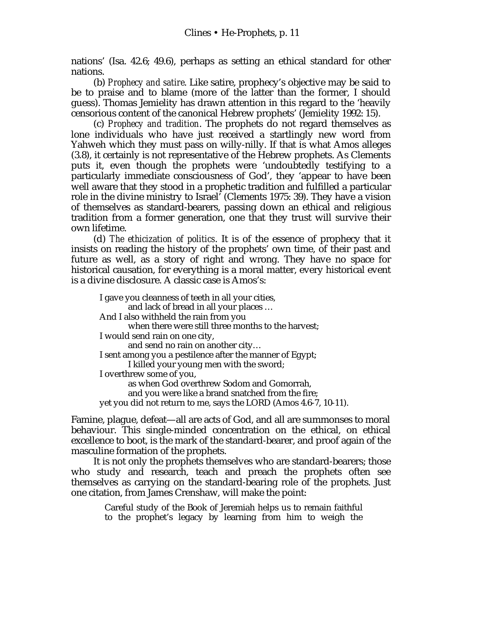nations' (Isa. 42.6; 49.6), perhaps as setting an ethical standard for other nations.

(b) *Prophecy and satire*. Like satire, prophecy's objective may be said to be to praise and to blame (more of the latter than the former, I should guess). Thomas Jemielity has drawn attention in this regard to the 'heavily censorious content of the canonical Hebrew prophets' (Jemielity 1992: 15).

(c) *Prophecy and tradition*. The prophets do not regard themselves as lone individuals who have just received a startlingly new word from Yahweh which they must pass on willy-nilly. If that is what Amos alleges (3.8), it certainly is not representative of the Hebrew prophets. As Clements puts it, even though the prophets were 'undoubtedly testifying to a particularly immediate consciousness of God', they 'appear to have been well aware that they stood in a prophetic tradition and fulfilled a particular role in the divine ministry to Israel' (Clements 1975: 39). They have a vision of themselves as standard-bearers, passing down an ethical and religious tradition from a former generation, one that they trust will survive their own lifetime.

(d) *The ethicization of politics*. It is of the essence of prophecy that it insists on reading the history of the prophets' own time, of their past and future as well, as a story of right and wrong. They have no space for historical causation, for everything is a moral matter, every historical event is a divine disclosure. A classic case is Amos's:

I gave you cleanness of teeth in all your cities, and lack of bread in all your places … And I also withheld the rain from you when there were still three months to the harvest; I would send rain on one city, and send no rain on another city… I sent among you a pestilence after the manner of Egypt; I killed your young men with the sword; I overthrew some of you, as when God overthrew Sodom and Gomorrah, and you were like a brand snatched from the fire;

yet you did not return to me, says the LORD (Amos 4.6-7, 10-11).

Famine, plague, defeat—all are acts of God, and all are summonses to moral behaviour. This single-minded concentration on the ethical, on ethical excellence to boot, is the mark of the standard-bearer, and proof again of the masculine formation of the prophets.

It is not only the prophets themselves who are standard-bearers; those who study and research, teach and preach the prophets often see themselves as carrying on the standard-bearing role of the prophets. Just one citation, from James Crenshaw, will make the point:

> Careful study of the Book of Jeremiah helps us to remain faithful to the prophet's legacy by learning from him to weigh the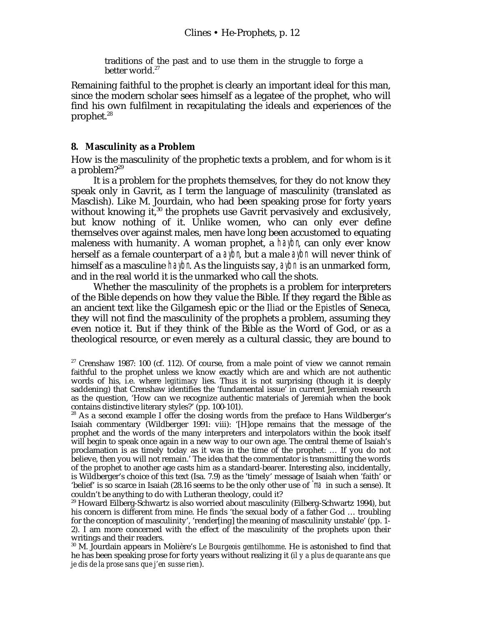traditions of the past and to use them in the struggle to forge a better world.<sup>27</sup>

Remaining faithful to the prophet is clearly an important ideal for this man, since the modern scholar sees himself as a legatee of the prophet, who will find his own fulfilment in recapitulating the ideals and experiences of the prophet.<sup>28</sup>

#### **8. Masculinity as a Problem**

How is the masculinity of the prophetic texts a problem, and for whom is it a problem? $29$ 

It is a problem for the prophets themselves, for they do not know they speak only in Gavrit, as I term the language of masculinity (translated as Masclish). Like M. Jourdain, who had been speaking prose for forty years without knowing it,<sup>30</sup> the prophets use Gavrit pervasively and exclusively, but know nothing of it. Unlike women, who can only ever define themselves over against males, men have long been accustomed to equating maleness with humanity. A woman prophet, a haybn, can only ever know herself as a female counterpart of a aybn, but a male aybn will never think of himself as a masculine haybn. As the linguists say, aybn is an unmarked form, and in the real world it is the unmarked who call the shots.

Whether the masculinity of the prophets is a problem for interpreters of the Bible depends on how they value the Bible. If they regard the Bible as an ancient text like the Gilgamesh epic or the *Iliad* or the *Epistles* of Seneca, they will not find the masculinity of the prophets a problem, assuming they even notice it. But if they think of the Bible as the Word of God, or as a theological resource, or even merely as a cultural classic, they are bound to

 $27$  Crenshaw 1987: 100 (cf. 112). Of course, from a male point of view we cannot remain faithful to the prophet unless we know exactly which are and which are not authentic words of his, i.e. where *legitimacy* lies. Thus it is not surprising (though it is deeply saddening) that Crenshaw identifies the 'fundamental issue' in current Jeremiah research as the question, 'How can we recognize authentic materials of Jeremiah when the book contains distinctive literary styles?' (pp. 100-101).

 $28$  As a second example I offer the closing words from the preface to Hans Wildberger's Isaiah commentary (Wildberger 1991: viii): '[H]ope remains that the message of the prophet and the words of the many interpreters and interpolators within the book itself will begin to speak once again in a new way to our own age. The central theme of Isaiah's proclamation is as timely today as it was in the time of the prophet: … If you do not believe, then you will not remain.' The idea that the commentator is transmitting the words of the prophet to another age casts him as a standard-bearer. Interesting also, incidentally, is Wildberger's choice of this text (Isa. 7.9) as the 'timely' message of Isaiah when 'faith' or 'belief' is so scarce in Isaiah (28.16 seems to be the only other use of ˆma in such a sense). It couldn't be anything to do with Lutheran theology, could it?

<sup>&</sup>lt;sup>29</sup> Howard Eilberg-Schwartz is also worried about masculinity (Eilberg-Schwartz 1994), but his concern is different from mine. He finds 'the sexual body of a father God … troubling for the conception of masculinity', 'render[ing] the meaning of masculinity unstable' (pp. 1-2). I am more concerned with the effect of the masculinity of the prophets upon their writings and their readers.

<sup>30</sup> M. Jourdain appears in Molière's *Le Bourgeois gentilhomme*. He is astonished to find that he has been speaking prose for forty years without realizing it (*il y a plus de quarante ans que je dis de la prose sans que j'en susse rien*).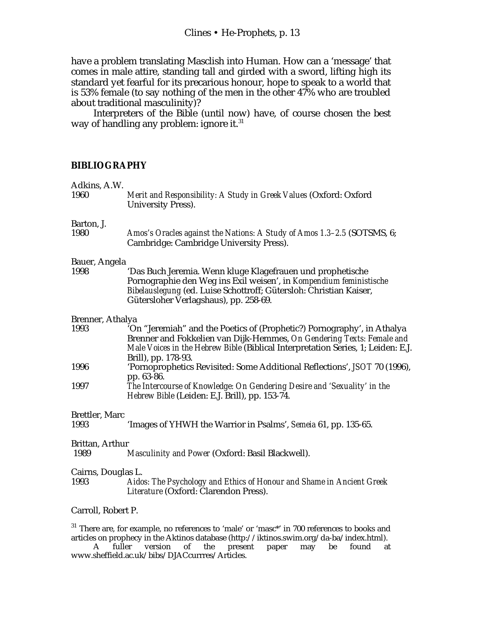have a problem translating Masclish into Human. How can a 'message' that comes in male attire, standing tall and girded with a sword, lifting high its standard yet fearful for its precarious honour, hope to speak to a world that is 53% female (to say nothing of the men in the other 47% who are troubled about traditional masculinity)?

Interpreters of the Bible (until now) have, of course chosen the best way of handling any problem: ignore it.<sup>31</sup>

# **BIBLIOGRAPHY**

| Adkins, A.W.<br>1960           | Merit and Responsibility: A Study in Greek Values (Oxford: Oxford                                                                                                                                                                                          |
|--------------------------------|------------------------------------------------------------------------------------------------------------------------------------------------------------------------------------------------------------------------------------------------------------|
|                                | <b>University Press).</b>                                                                                                                                                                                                                                  |
| Barton, J.                     |                                                                                                                                                                                                                                                            |
| 1980                           | Amos's Oracles against the Nations: A Study of Amos 1.3–2.5 (SOTSMS, 6;<br>Cambridge: Cambridge University Press).                                                                                                                                         |
| Bauer, Angela                  |                                                                                                                                                                                                                                                            |
| 1998                           | 'Das Buch Jeremia. Wenn kluge Klagefrauen und prophetische<br>Pornographie den Weg ins Exil weisen', in Kompendium feministische<br>Bibelauslegung (ed. Luise Schottroff; Gütersloh: Christian Kaiser,<br>Gütersloher Verlagshaus), pp. 258-69.            |
| <b>Brenner, Athalya</b>        |                                                                                                                                                                                                                                                            |
| 1993                           | On "Jeremiah" and the Poetics of (Prophetic?) Pornography', in Athalya<br>Brenner and Fokkelien van Dijk-Hemmes, On Gendering Texts: Female and<br>Male Voices in the Hebrew Bible (Biblical Interpretation Series, 1; Leiden: E.J.<br>Brill), pp. 178-93. |
| 1996                           | 'Pornoprophetics Revisited: Some Additional Reflections', JSOT 70 (1996),<br>pp. 63-86.                                                                                                                                                                    |
| 1997                           | The Intercourse of Knowledge: On Gendering Desire and 'Sexuality' in the<br>Hebrew Bible (Leiden: E.J. Brill), pp. 153-74.                                                                                                                                 |
| <b>Brettler, Marc</b>          |                                                                                                                                                                                                                                                            |
| 1993                           | 'Images of YHWH the Warrior in Psalms', Semeia 61, pp. 135-65.                                                                                                                                                                                             |
| <b>Brittan, Arthur</b><br>1989 | Masculinity and Power (Oxford: Basil Blackwell).                                                                                                                                                                                                           |
| Cairns, Douglas L.             |                                                                                                                                                                                                                                                            |
| 1993                           | Aidos: The Psychology and Ethics of Honour and Shame in Ancient Greek<br>Literature (Oxford: Clarendon Press).                                                                                                                                             |
| Carroll, Robert P.             |                                                                                                                                                                                                                                                            |
|                                | <sup>31</sup> There are, for example, no references to 'male' or 'masc*' in 700 references to books and<br>articles on prophecy in the Aktinos database (http://iktinos.swim.org/da-ba/index.html).                                                        |

A fuller version of the present paper may be found at www.sheffield.ac.uk/bibs/DJACcurrres/Articles.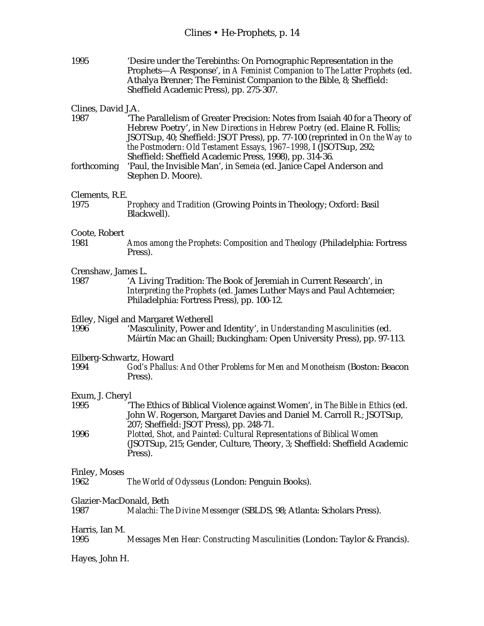| 1995                                                                                                   | 'Desire under the Terebinths: On Pornographic Representation in the<br>Prophets-A Response', in A Feminist Companion to The Latter Prophets (ed.<br>Athalya Brenner; The Feminist Companion to the Bible, 8; Sheffield:<br>Sheffield Academic Press), pp. 275-307.                                                                                                      |  |
|--------------------------------------------------------------------------------------------------------|-------------------------------------------------------------------------------------------------------------------------------------------------------------------------------------------------------------------------------------------------------------------------------------------------------------------------------------------------------------------------|--|
| Clines, David J.A.<br>1987                                                                             | 'The Parallelism of Greater Precision: Notes from Isaiah 40 for a Theory of<br>Hebrew Poetry', in New Directions in Hebrew Poetry (ed. Elaine R. Follis;<br>JSOTSup, 40; Sheffield: JSOT Press), pp. 77-100 (reprinted in On the Way to<br>the Postmodern: Old Testament Essays, 1967-1998, I (JSOTSup, 292;<br>Sheffield: Sheffield Academic Press, 1998), pp. 314-36. |  |
| forthcoming                                                                                            | 'Paul, the Invisible Man', in Semeia (ed. Janice Capel Anderson and<br>Stephen D. Moore).                                                                                                                                                                                                                                                                               |  |
| Clements, R.E.<br>1975                                                                                 | Prophecy and Tradition (Growing Points in Theology; Oxford: Basil<br>Blackwell).                                                                                                                                                                                                                                                                                        |  |
| Coote, Robert<br>1981                                                                                  | Amos among the Prophets: Composition and Theology (Philadelphia: Fortress<br>Press).                                                                                                                                                                                                                                                                                    |  |
| Crenshaw, James L.<br>1987                                                                             | 'A Living Tradition: The Book of Jeremiah in Current Research', in<br>Interpreting the Prophets (ed. James Luther Mays and Paul Achtemeier;<br>Philadelphia: Fortress Press), pp. 100-12.                                                                                                                                                                               |  |
| 1996                                                                                                   | <b>Edley, Nigel and Margaret Wetherell</b><br>'Masculinity, Power and Identity', in Understanding Masculinities (ed.<br>Máirtín Mac an Ghaill; Buckingham: Open University Press), pp. 97-113.                                                                                                                                                                          |  |
| Eilberg-Schwartz, Howard<br>1994                                                                       | God's Phallus: And Other Problems for Men and Monotheism (Boston: Beacon<br>Press).                                                                                                                                                                                                                                                                                     |  |
| Exum, J. Cheryl<br>1995                                                                                | 'The Ethics of Biblical Violence against Women', in The Bible in Ethics (ed.<br>John W. Rogerson, Margaret Davies and Daniel M. Carroll R.; JSOTSup,<br>207; Sheffield: JSOT Press), pp. 248-71.                                                                                                                                                                        |  |
| 1996                                                                                                   | Plotted, Shot, and Painted: Cultural Representations of Biblical Women<br>(JSOTSup, 215; Gender, Culture, Theory, 3; Sheffield: Sheffield Academic<br>Press).                                                                                                                                                                                                           |  |
| <b>Finley, Moses</b><br>1962                                                                           | The World of Odysseus (London: Penguin Books).                                                                                                                                                                                                                                                                                                                          |  |
| Glazier-MacDonald, Beth<br>Malachi: The Divine Messenger (SBLDS, 98; Atlanta: Scholars Press).<br>1987 |                                                                                                                                                                                                                                                                                                                                                                         |  |
| Harris, Ian M.<br>1995                                                                                 | Messages Men Hear: Constructing Masculinities (London: Taylor & Francis).                                                                                                                                                                                                                                                                                               |  |
| Hayes, John H.                                                                                         |                                                                                                                                                                                                                                                                                                                                                                         |  |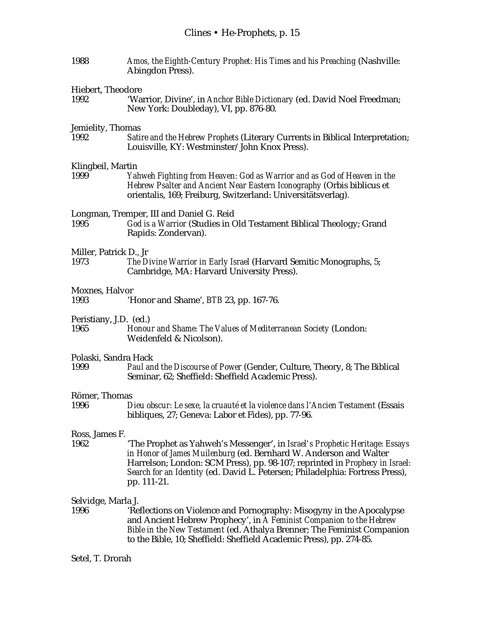# Clines • He-Prophets, p. 15

| 1988                          | Amos, the Eighth-Century Prophet: His Times and his Preaching (Nashville:<br>Abingdon Press).                                                                                                                                                                                                                                   |
|-------------------------------|---------------------------------------------------------------------------------------------------------------------------------------------------------------------------------------------------------------------------------------------------------------------------------------------------------------------------------|
| Hiebert, Theodore             | 'Warrior, Divine', in Anchor Bible Dictionary (ed. David Noel Freedman;                                                                                                                                                                                                                                                         |
| 1992                          | New York: Doubleday), VI, pp. 876-80.                                                                                                                                                                                                                                                                                           |
| Jemielity, Thomas             | Satire and the Hebrew Prophets (Literary Currents in Biblical Interpretation;                                                                                                                                                                                                                                                   |
| 1992                          | Louisville, KY: Westminster/John Knox Press).                                                                                                                                                                                                                                                                                   |
| Klingbeil, Martin<br>1999     | Yahweh Fighting from Heaven: God as Warrior and as God of Heaven in the<br>Hebrew Psalter and Ancient Near Eastern Iconography (Orbis biblicus et<br>orientalis, 169; Freiburg, Switzerland: Universitätsverlag).                                                                                                               |
| 1995                          | Longman, Tremper, III and Daniel G. Reid<br>God is a Warrior (Studies in Old Testament Biblical Theology; Grand<br>Rapids: Zondervan).                                                                                                                                                                                          |
| Miller, Patrick D., Jr        | The Divine Warrior in Early Israel (Harvard Semitic Monographs, 5;                                                                                                                                                                                                                                                              |
| 1973                          | Cambridge, MA: Harvard University Press).                                                                                                                                                                                                                                                                                       |
| <b>Moxnes, Halvor</b><br>1993 | 'Honor and Shame', BTB 23, pp. 167-76.                                                                                                                                                                                                                                                                                          |
| Peristiany, J.D. (ed.)        | Honour and Shame: The Values of Mediterranean Society (London:                                                                                                                                                                                                                                                                  |
| 1965                          | Weidenfeld & Nicolson).                                                                                                                                                                                                                                                                                                         |
| Polaski, Sandra Hack          | Paul and the Discourse of Power (Gender, Culture, Theory, 8; The Biblical                                                                                                                                                                                                                                                       |
| 1999                          | Seminar, 62; Sheffield: Sheffield Academic Press).                                                                                                                                                                                                                                                                              |
| Römer, Thomas                 | Dieu obscur: Le sexe, la cruauté et la violence dans l'Ancien Testament (Essais                                                                                                                                                                                                                                                 |
| 1996                          | bibliques, 27; Geneva: Labor et Fides), pp. 77-96.                                                                                                                                                                                                                                                                              |
| Ross, James F.<br>1962        | 'The Prophet as Yahweh's Messenger', in Israel's Prophetic Heritage: Essays<br>in Honor of James Muilenburg (ed. Bernhard W. Anderson and Walter<br>Harrelson; London: SCM Press), pp. 98-107; reprinted in Prophecy in Israel:<br>Search for an Identity (ed. David L. Petersen; Philadelphia: Fortress Press),<br>pp. 111-21. |
| Selvidge, Marla J.<br>1996    | 'Reflections on Violence and Pornography: Misogyny in the Apocalypse<br>and Ancient Hebrew Prophecy', in A Feminist Companion to the Hebrew<br>Bible in the New Testament (ed. Athalya Brenner; The Feminist Companion<br>to the Bible, 10; Sheffield: Sheffield Academic Press), pp. 274-85.                                   |

Setel, T. Drorah